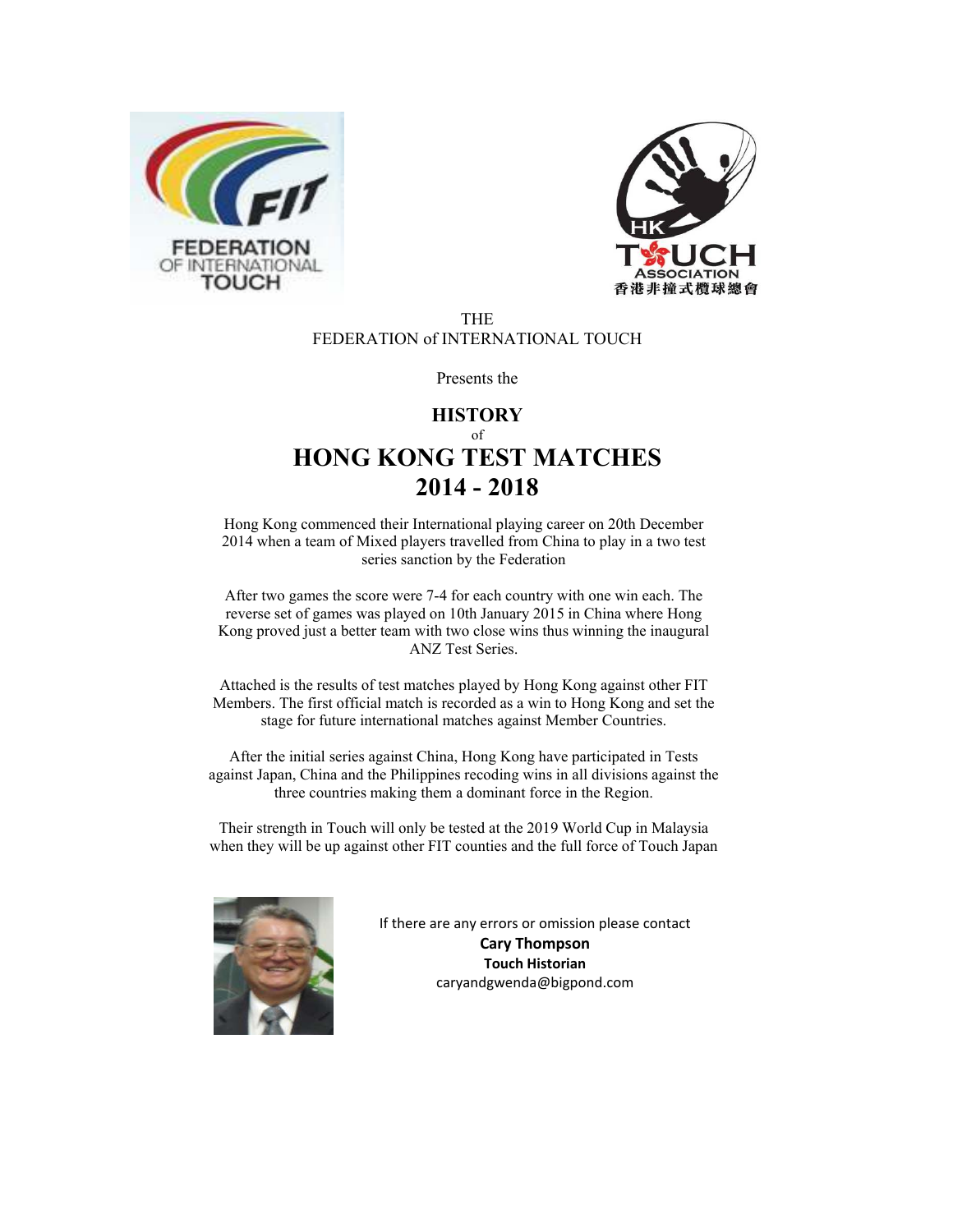



#### THE FEDERATION of INTERNATIONAL TOUCH

Presents the

## **HISTORY** of **HONG KONG TEST MATCHES 2014 - 2018**

Hong Kong commenced their International playing career on 20th December 2014 when a team of Mixed players travelled from China to play in a two test series sanction by the Federation

After two games the score were 7-4 for each country with one win each. The reverse set of games was played on 10th January 2015 in China where Hong Kong proved just a better team with two close wins thus winning the inaugural ANZ Test Series.

Attached is the results of test matches played by Hong Kong against other FIT Members. The first official match is recorded as a win to Hong Kong and set the stage for future international matches against Member Countries.

After the initial series against China, Hong Kong have participated in Tests against Japan, China and the Philippines recoding wins in all divisions against the three countries making them a dominant force in the Region.

Their strength in Touch will only be tested at the 2019 World Cup in Malaysia when they will be up against other FIT counties and the full force of Touch Japan



If there are any errors or omission please contact **Cary Thompson Touch Historian**  caryandgwenda@bigpond.com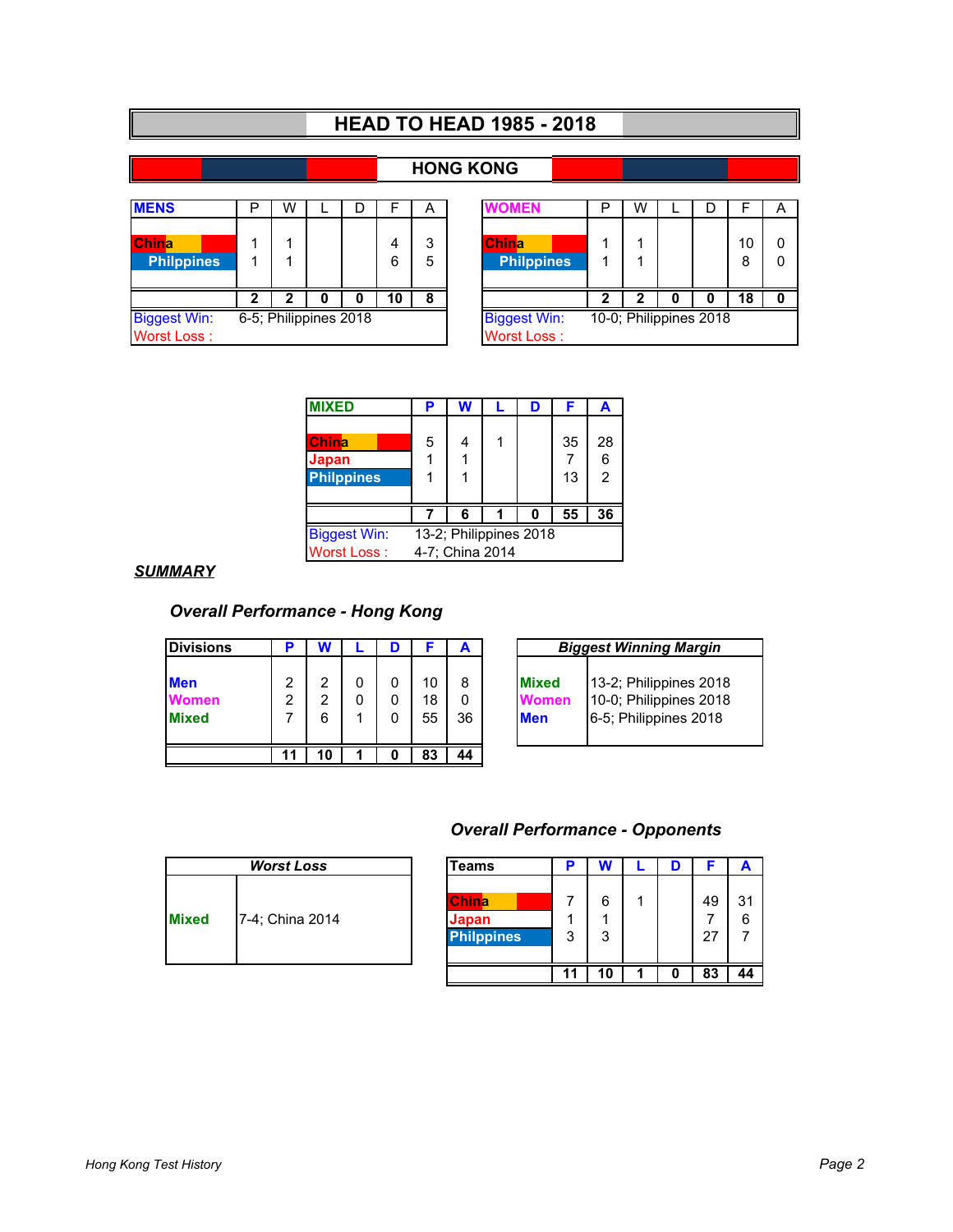# **HEAD TO HEAD 1985 - 2018**

## **HONG KONG**

| <b>MENS</b>                        | ◻ | W                     | D      |        | A                                 | <b>NOMEN</b>                       | P | W |   | D                      | ⊢                    | A |
|------------------------------------|---|-----------------------|--------|--------|-----------------------------------|------------------------------------|---|---|---|------------------------|----------------------|---|
| <b>IChina</b><br><b>Philppines</b> |   |                       | 4<br>6 | 3<br>5 | <b>China</b><br><b>Philppines</b> |                                    |   |   |   | 10<br>8                | $\Omega$<br>$\Omega$ |   |
|                                    | ּ |                       | O      | 10     | 8                                 |                                    | າ | 2 | 0 | 0                      | 18                   | 0 |
| <b>Biggest Win:</b><br>Worst Loss: |   | 6-5; Philippines 2018 |        |        |                                   | <b>Biggest Win:</b><br>Worst Loss: |   |   |   | 10-0; Philippines 2018 |                      |   |

| Þ                   | W |   | D |                                           | Α      | OMEN                              | P                      | W |  | Г |         | А |
|---------------------|---|---|---|-------------------------------------------|--------|-----------------------------------|------------------------|---|--|---|---------|---|
| 1<br>1              |   |   |   | 4<br>6                                    | 3<br>5 | <b>China</b><br><b>Philppines</b> |                        |   |  |   | 10<br>8 |   |
| 2                   | 7 | o | 0 | 10                                        | 8      |                                   |                        |   |  |   | 18      |   |
| 5; Philippines 2018 |   |   |   | <b>Biggest Win:</b><br><b>Worst Loss:</b> |        |                                   | 10-0; Philippines 2018 |   |  |   |         |   |

| <b>MIXED</b>        | Р                      | W               |  | D | F  | A             |  |  |
|---------------------|------------------------|-----------------|--|---|----|---------------|--|--|
|                     |                        |                 |  |   |    |               |  |  |
| China               | 5                      |                 |  |   | 35 | 28            |  |  |
| Japan               |                        |                 |  |   |    | 6             |  |  |
| <b>Philppines</b>   |                        |                 |  |   | 13 | $\mathcal{P}$ |  |  |
|                     |                        |                 |  |   |    |               |  |  |
|                     |                        | 6               |  | n | 55 | 36            |  |  |
| <b>Biggest Win:</b> | 13-2; Philippines 2018 |                 |  |   |    |               |  |  |
| <b>Worst Loss:</b>  |                        | 4-7; China 2014 |  |   |    |               |  |  |
|                     |                        |                 |  |   |    |               |  |  |

#### *SUMMARY*

## *Overall Performance - Hong Kong*

| <b>Divisions</b>                           | ₽      |        | D           |                |         |  |                                             | <b>Biggest Winning Margin</b>                                             |  |  |  |
|--------------------------------------------|--------|--------|-------------|----------------|---------|--|---------------------------------------------|---------------------------------------------------------------------------|--|--|--|
| <b>Men</b><br><b>Women</b><br><b>Mixed</b> | 2<br>2 | າ<br>6 | 0<br>0<br>0 | 10<br>18<br>55 | 8<br>36 |  | <b>Mixed</b><br><i>N</i> omen<br><b>Men</b> | 13-2; Philippines 2018<br>10-0; Philippines 2018<br>6-5; Philippines 2018 |  |  |  |
|                                            | 11     | 10     | 0           | 83             | 44      |  |                                             |                                                                           |  |  |  |

|              | <b>Biggest Winning Margin</b> |  |  |  |  |  |  |  |
|--------------|-------------------------------|--|--|--|--|--|--|--|
| <b>Mixed</b> | 13-2; Philippines 2018        |  |  |  |  |  |  |  |
| Vomen        | 10-0; Philippines 2018        |  |  |  |  |  |  |  |
| Men          | 6-5; Philippines 2018         |  |  |  |  |  |  |  |

### *Overall Performance - Opponents*

|              | <b>Worst Loss</b> | Teams                                      | ь      |        |  |          |         |
|--------------|-------------------|--------------------------------------------|--------|--------|--|----------|---------|
| <b>Mixed</b> | 7-4; China 2014   | <b>China</b><br>Japan<br><b>Philppines</b> | ٠<br>3 | 6<br>3 |  | 49<br>27 | 31<br>6 |
|              |                   |                                            |        | 10     |  | 83       | 44      |